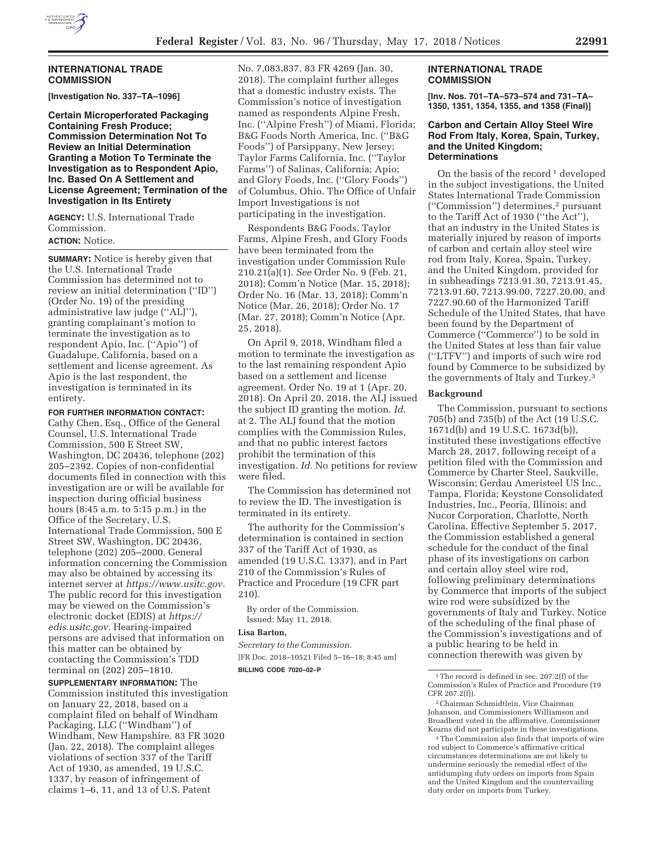

## **INTERNATIONAL TRADE COMMISSION**

**[Investigation No. 337–TA–1096]** 

**Certain Microperforated Packaging Containing Fresh Produce; Commission Determination Not To Review an Initial Determination Granting a Motion To Terminate the Investigation as to Respondent Apio, Inc. Based On A Settlement and License Agreement; Termination of the Investigation in Its Entirety** 

**AGENCY:** U.S. International Trade Commission. **ACTION:** Notice.

**SUMMARY:** Notice is hereby given that the U.S. International Trade Commission has determined not to review an initial determination (''ID'') (Order No. 19) of the presiding administrative law judge (''ALJ''), granting complainant's motion to terminate the investigation as to respondent Apio, Inc. (''Apio'') of Guadalupe, California, based on a settlement and license agreement. As Apio is the last respondent, the investigation is terminated in its entirety.

#### **FOR FURTHER INFORMATION CONTACT:**

Cathy Chen, Esq., Office of the General Counsel, U.S. International Trade Commission, 500 E Street SW, Washington, DC 20436, telephone (202) 205–2392. Copies of non-confidential documents filed in connection with this investigation are or will be available for inspection during official business hours (8:45 a.m. to 5:15 p.m.) in the Office of the Secretary, U.S. International Trade Commission, 500 E Street SW, Washington, DC 20436, telephone (202) 205–2000. General information concerning the Commission may also be obtained by accessing its internet server at *https://www.usitc.gov.*  The public record for this investigation may be viewed on the Commission's electronic docket (EDIS) at *https:// edis.usitc.gov.* Hearing-impaired persons are advised that information on this matter can be obtained by contacting the Commission's TDD terminal on (202) 205–1810.

**SUPPLEMENTARY INFORMATION:** The Commission instituted this investigation on January 22, 2018, based on a complaint filed on behalf of Windham Packaging, LLC (''Windham'') of Windham, New Hampshire. 83 FR 3020 (Jan. 22, 2018). The complaint alleges violations of section 337 of the Tariff Act of 1930, as amended, 19 U.S.C. 1337, by reason of infringement of claims 1–6, 11, and 13 of U.S. Patent

No. 7,083,837. 83 FR 4269 (Jan. 30, 2018). The complaint further alleges that a domestic industry exists. The Commission's notice of investigation named as respondents Alpine Fresh, Inc. (''Alpine Fresh'') of Miami, Florida; B&G Foods North America, Inc. (''B&G Foods'') of Parsippany, New Jersey; Taylor Farms California, Inc. (''Taylor Farms'') of Salinas, California; Apio; and Glory Foods, Inc. (''Glory Foods'') of Columbus, Ohio. The Office of Unfair Import Investigations is not participating in the investigation.

Respondents B&G Foods, Taylor Farms, Alpine Fresh, and Glory Foods have been terminated from the investigation under Commission Rule 210.21(a)(1). *See* Order No. 9 (Feb. 21, 2018); Comm'n Notice (Mar. 15, 2018); Order No. 16 (Mar. 13, 2018); Comm'n Notice (Mar. 26, 2018); Order No. 17 (Mar. 27, 2018); Comm'n Notice (Apr. 25, 2018).

On April 9, 2018, Windham filed a motion to terminate the investigation as to the last remaining respondent Apio based on a settlement and license agreement. Order No. 19 at 1 (Apr. 20, 2018). On April 20, 2018, the ALJ issued the subject ID granting the motion. *Id.*  at 2. The ALJ found that the motion complies with the Commission Rules, and that no public interest factors prohibit the termination of this investigation. *Id.* No petitions for review were filed.

The Commission has determined not to review the ID. The investigation is terminated in its entirety.

The authority for the Commission's determination is contained in section 337 of the Tariff Act of 1930, as amended (19 U.S.C. 1337), and in Part 210 of the Commission's Rules of Practice and Procedure (19 CFR part 210).

By order of the Commission. Issued: May 11, 2018.

# **Lisa Barton,**

*Secretary to the Commission.*  [FR Doc. 2018–10521 Filed 5–16–18; 8:45 am] **BILLING CODE 7020–02–P** 

#### **INTERNATIONAL TRADE COMMISSION**

**[Inv. Nos. 701–TA–573–574 and 731–TA– 1350, 1351, 1354, 1355, and 1358 (Final)]** 

#### **Carbon and Certain Alloy Steel Wire Rod From Italy, Korea, Spain, Turkey, and the United Kingdom; Determinations**

On the basis of the record  $1$  developed in the subject investigations, the United States International Trade Commission (''Commission'') determines,2 pursuant to the Tariff Act of 1930 (''the Act''), that an industry in the United States is materially injured by reason of imports of carbon and certain alloy steel wire rod from Italy, Korea, Spain, Turkey, and the United Kingdom, provided for in subheadings 7213.91.30, 7213.91.45, 7213.91.60, 7213.99.00, 7227.20.00, and 7227.90.60 of the Harmonized Tariff Schedule of the United States, that have been found by the Department of Commerce (''Commerce'') to be sold in the United States at less than fair value (''LTFV'') and imports of such wire rod found by Commerce to be subsidized by the governments of Italy and Turkey.3

## **Background**

The Commission, pursuant to sections 705(b) and 735(b) of the Act (19 U.S.C. 1671d(b) and 19 U.S.C. 1673d(b)), instituted these investigations effective March 28, 2017, following receipt of a petition filed with the Commission and Commerce by Charter Steel, Saukville, Wisconsin; Gerdau Ameristeel US Inc., Tampa, Florida; Keystone Consolidated Industries, Inc., Peoria, Illinois; and Nucor Corporation, Charlotte, North Carolina. Effective September 5, 2017, the Commission established a general schedule for the conduct of the final phase of its investigations on carbon and certain alloy steel wire rod, following preliminary determinations by Commerce that imports of the subject wire rod were subsidized by the governments of Italy and Turkey. Notice of the scheduling of the final phase of the Commission's investigations and of a public hearing to be held in connection therewith was given by

<sup>&</sup>lt;sup>1</sup>The record is defined in sec. 207.2(f) of the Commission's Rules of Practice and Procedure (19 CFR 207.2(f)).

<sup>2</sup>Chairman Schmidtlein, Vice Chairman Johanson, and Commissioners Williamson and Broadbent voted in the affirmative. Commissioner Kearns did not participate in these investigations.

<sup>3</sup>The Commission also finds that imports of wire rod subject to Commerce's affirmative critical circumstances determinations are not likely to undermine seriously the remedial effect of the antidumping duty orders on imports from Spain and the United Kingdom and the countervailing duty order on imports from Turkey.